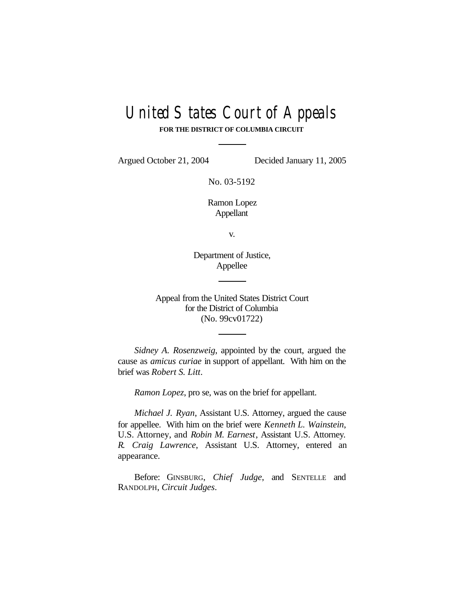# United States Court of Appeals

**FOR THE DISTRICT OF COLUMBIA CIRCUIT**

Argued October 21, 2004 Decided January 11, 2005

No. 03-5192

Ramon Lopez Appellant

v.

Department of Justice, Appellee

Appeal from the United States District Court for the District of Columbia (No. 99cv01722)

*Sidney A. Rosenzweig*, appointed by the court, argued the cause as *amicus curiae* in support of appellant. With him on the brief was *Robert S. Litt*.

*Ramon Lopez*, pro se, was on the brief for appellant.

*Michael J. Ryan*, Assistant U.S. Attorney, argued the cause for appellee. With him on the brief were *Kenneth L. Wainstein*, U.S. Attorney, and *Robin M. Earnest*, Assistant U.S. Attorney. *R. Craig Lawrence*, Assistant U.S. Attorney, entered an appearance.

Before: GINSBURG, *Chief Judge*, and SENTELLE and RANDOLPH, *Circuit Judges*.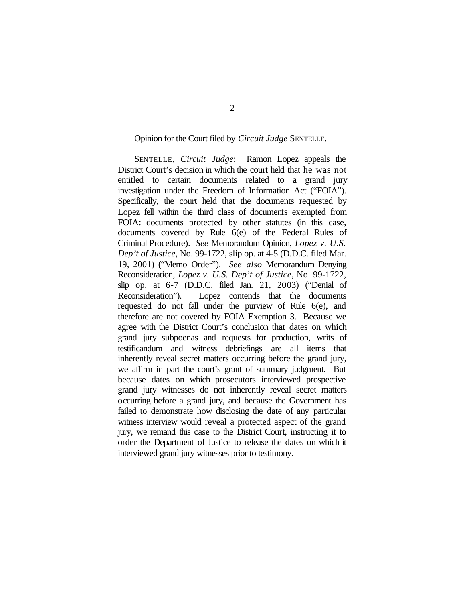## Opinion for the Court filed by *Circuit Judge* SENTELLE.

SENTELLE, *Circuit Judge*: Ramon Lopez appeals the District Court's decision in which the court held that he was not entitled to certain documents related to a grand jury investigation under the Freedom of Information Act ("FOIA"). Specifically, the court held that the documents requested by Lopez fell within the third class of documents exempted from FOIA: documents protected by other statutes (in this case, documents covered by Rule 6(e) of the Federal Rules of Criminal Procedure). *See* Memorandum Opinion, *Lopez v. U.S. Dep't of Justice*, No. 99-1722, slip op. at 4-5 (D.D.C. filed Mar. 19, 2001) ("Memo Order"). *See also* Memorandum Denying Reconsideration, *Lopez v. U.S. Dep't of Justice*, No. 99-1722, slip op. at 6-7 (D.D.C. filed Jan. 21, 2003) ("Denial of Reconsideration"). Lopez contends that the documents requested do not fall under the purview of Rule 6(e), and therefore are not covered by FOIA Exemption 3. Because we agree with the District Court's conclusion that dates on which grand jury subpoenas and requests for production, writs of testificandum and witness debriefings are all items that inherently reveal secret matters occurring before the grand jury, we affirm in part the court's grant of summary judgment. But because dates on which prosecutors interviewed prospective grand jury witnesses do not inherently reveal secret matters occurring before a grand jury, and because the Government has failed to demonstrate how disclosing the date of any particular witness interview would reveal a protected aspect of the grand jury, we remand this case to the District Court, instructing it to order the Department of Justice to release the dates on which it interviewed grand jury witnesses prior to testimony.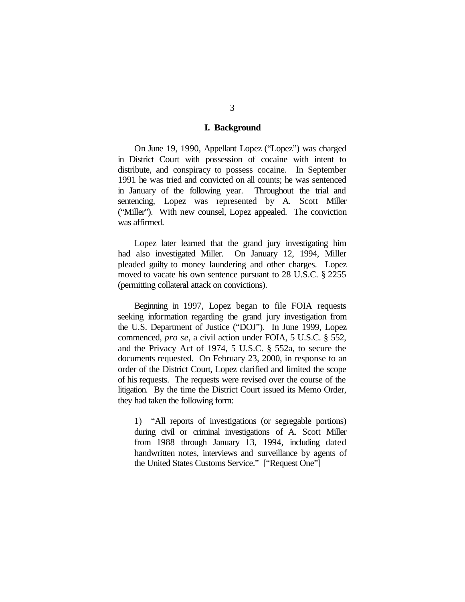## **I. Background**

On June 19, 1990, Appellant Lopez ("Lopez") was charged in District Court with possession of cocaine with intent to distribute, and conspiracy to possess cocaine. In September 1991 he was tried and convicted on all counts; he was sentenced in January of the following year. Throughout the trial and sentencing, Lopez was represented by A. Scott Miller ("Miller"). With new counsel, Lopez appealed. The conviction was affirmed.

Lopez later learned that the grand jury investigating him had also investigated Miller. On January 12, 1994, Miller pleaded guilty to money laundering and other charges. Lopez moved to vacate his own sentence pursuant to 28 U.S.C. § 2255 (permitting collateral attack on convictions).

Beginning in 1997, Lopez began to file FOIA requests seeking information regarding the grand jury investigation from the U.S. Department of Justice ("DOJ"). In June 1999, Lopez commenced, *pro se*, a civil action under FOIA, 5 U.S.C. § 552, and the Privacy Act of 1974, 5 U.S.C. § 552a, to secure the documents requested. On February 23, 2000, in response to an order of the District Court, Lopez clarified and limited the scope of his requests. The requests were revised over the course of the litigation. By the time the District Court issued its Memo Order, they had taken the following form:

1) "All reports of investigations (or segregable portions) during civil or criminal investigations of A. Scott Miller from 1988 through January 13, 1994, including dated handwritten notes, interviews and surveillance by agents of the United States Customs Service." ["Request One"]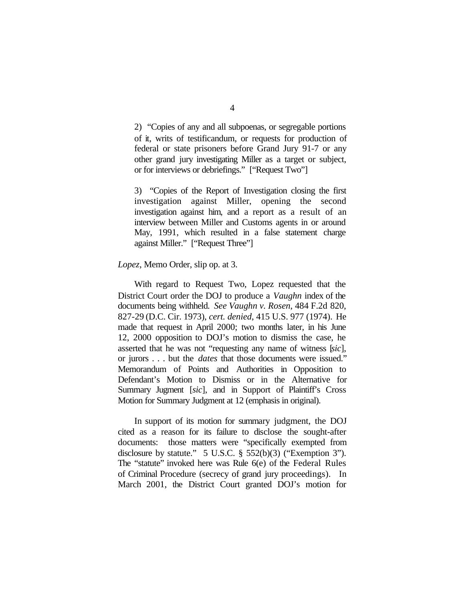2) "Copies of any and all subpoenas, or segregable portions of it, writs of testificandum, or requests for production of federal or state prisoners before Grand Jury 91-7 or any other grand jury investigating Miller as a target or subject, or for interviews or debriefings." ["Request Two"]

3) "Copies of the Report of Investigation closing the first investigation against Miller, opening the second investigation against him, and a report as a result of an interview between Miller and Customs agents in or around May, 1991, which resulted in a false statement charge against Miller." ["Request Three"]

### *Lopez*, Memo Order, slip op. at 3.

With regard to Request Two, Lopez requested that the District Court order the DOJ to produce a *Vaughn* index of the documents being withheld. *See Vaughn v. Rosen*, 484 F.2d 820, 827-29 (D.C. Cir. 1973), *cert. denied*, 415 U.S. 977 (1974). He made that request in April 2000; two months later, in his June 12, 2000 opposition to DOJ's motion to dismiss the case, he asserted that he was not "requesting any name of witness [*sic*], or jurors . . . but the *dates* that those documents were issued." Memorandum of Points and Authorities in Opposition to Defendant's Motion to Dismiss or in the Alternative for Summary Jugment [*sic*], and in Support of Plaintiff's Cross Motion for Summary Judgment at 12 (emphasis in original).

In support of its motion for summary judgment, the DOJ cited as a reason for its failure to disclose the sought-after documents: those matters were "specifically exempted from disclosure by statute." 5 U.S.C. § 552(b)(3) ("Exemption 3"). The "statute" invoked here was Rule 6(e) of the Federal Rules of Criminal Procedure (secrecy of grand jury proceedings). In March 2001, the District Court granted DOJ's motion for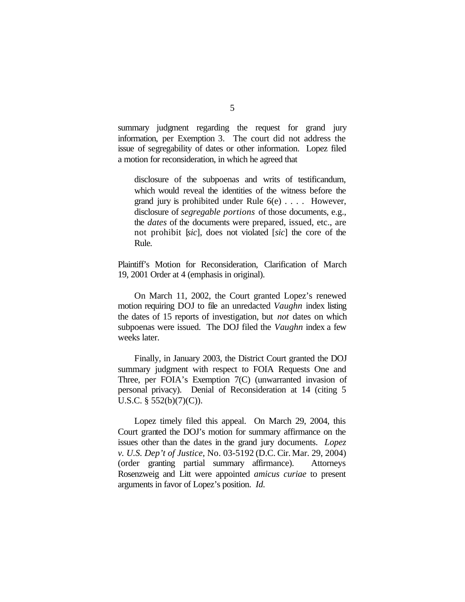summary judgment regarding the request for grand jury information, per Exemption 3. The court did not address the issue of segregability of dates or other information. Lopez filed a motion for reconsideration, in which he agreed that

disclosure of the subpoenas and writs of testificandum, which would reveal the identities of the witness before the grand jury is prohibited under Rule 6(e) . . . . However, disclosure of *segregable portions* of those documents, e.g., the *dates* of the documents were prepared, issued, etc., are not prohibit [*sic*], does not violated [*sic*] the core of the Rule.

Plaintiff's Motion for Reconsideration, Clarification of March 19, 2001 Order at 4 (emphasis in original).

On March 11, 2002, the Court granted Lopez's renewed motion requiring DOJ to file an unredacted *Vaughn* index listing the dates of 15 reports of investigation, but *not* dates on which subpoenas were issued. The DOJ filed the *Vaughn* index a few weeks later.

Finally, in January 2003, the District Court granted the DOJ summary judgment with respect to FOIA Requests One and Three, per FOIA's Exemption 7(C) (unwarranted invasion of personal privacy). Denial of Reconsideration at 14 (citing 5 U.S.C.  $\S$  552(b)(7)(C)).

Lopez timely filed this appeal. On March 29, 2004, this Court granted the DOJ's motion for summary affirmance on the issues other than the dates in the grand jury documents. *Lopez v. U.S. Dep't of Justice*, No. 03-5192 (D.C. Cir. Mar. 29, 2004) (order granting partial summary affirmance). Attorneys Rosenzweig and Litt were appointed *amicus curiae* to present arguments in favor of Lopez's position. *Id.*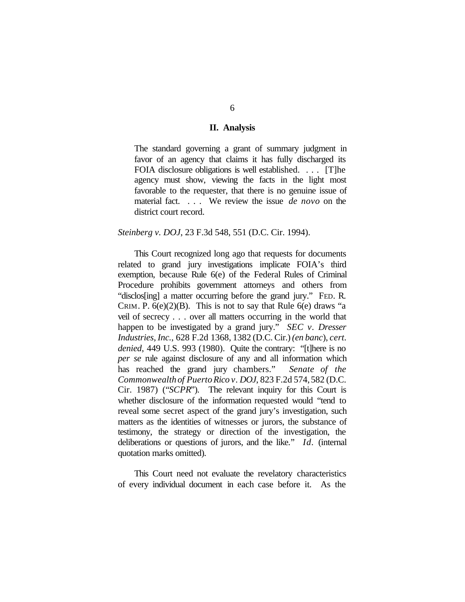#### **II. Analysis**

The standard governing a grant of summary judgment in favor of an agency that claims it has fully discharged its FOIA disclosure obligations is well established. . . . [T]he agency must show, viewing the facts in the light most favorable to the requester, that there is no genuine issue of material fact. . . . We review the issue *de novo* on the district court record.

#### *Steinberg v. DOJ*, 23 F.3d 548, 551 (D.C. Cir. 1994).

This Court recognized long ago that requests for documents related to grand jury investigations implicate FOIA's third exemption, because Rule 6(e) of the Federal Rules of Criminal Procedure prohibits government attorneys and others from "disclos[ing] a matter occurring before the grand jury." FED. R. CRIM. P.  $6(e)(2)(B)$ . This is not to say that Rule  $6(e)$  draws "a veil of secrecy . . . over all matters occurring in the world that happen to be investigated by a grand jury." *SEC v. Dresser Industries, Inc.*, 628 F.2d 1368, 1382 (D.C. Cir.)*(en banc*), *cert. denied*, 449 U.S. 993 (1980). Quite the contrary: "[t]here is no *per se* rule against disclosure of any and all information which has reached the grand jury chambers." *Senate of the Commonwealth of PuertoRico v. DOJ*, 823 F.2d 574,582 (D.C. Cir. 1987) ("*SCPR*"). The relevant inquiry for this Court is whether disclosure of the information requested would "tend to reveal some secret aspect of the grand jury's investigation, such matters as the identities of witnesses or jurors, the substance of testimony, the strategy or direction of the investigation, the deliberations or questions of jurors, and the like." *Id.* (internal quotation marks omitted).

This Court need not evaluate the revelatory characteristics of every individual document in each case before it. As the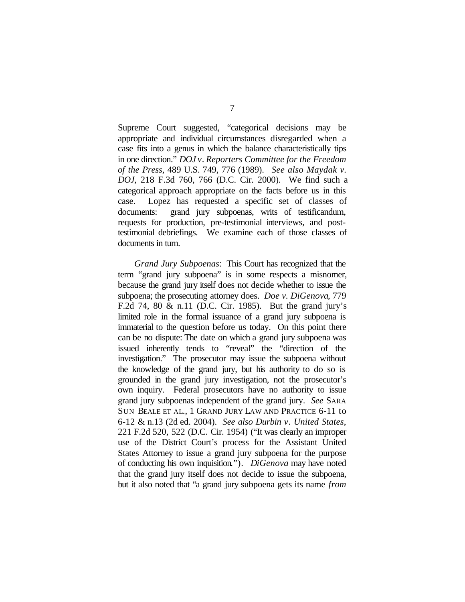Supreme Court suggested, "categorical decisions may be appropriate and individual circumstances disregarded when a case fits into a genus in which the balance characteristically tips in one direction." *DOJ v. Reporters Committee for the Freedom of the Press*, 489 U.S. 749, 776 (1989). *See also Maydak v. DOJ*, 218 F.3d 760, 766 (D.C. Cir. 2000). We find such a categorical approach appropriate on the facts before us in this case. Lopez has requested a specific set of classes of documents: grand jury subpoenas, writs of testificandum, requests for production, pre-testimonial interviews, and posttestimonial debriefings. We examine each of those classes of documents in turn.

*Grand Jury Subpoenas*: This Court has recognized that the term "grand jury subpoena" is in some respects a misnomer, because the grand jury itself does not decide whether to issue the subpoena; the prosecuting attorney does. *Doe v. DiGenova*, 779 F.2d 74, 80 & n.11 (D.C. Cir. 1985). But the grand jury's limited role in the formal issuance of a grand jury subpoena is immaterial to the question before us today. On this point there can be no dispute: The date on which a grand jury subpoena was issued inherently tends to "reveal" the "direction of the investigation." The prosecutor may issue the subpoena without the knowledge of the grand jury, but his authority to do so is grounded in the grand jury investigation, not the prosecutor's own inquiry. Federal prosecutors have no authority to issue grand jury subpoenas independent of the grand jury. *See* SARA SUN BEALE ET AL., 1 GRAND JURY LAW AND PRACTICE 6-11 to 6-12 & n.13 (2d ed. 2004). *See also Durbin v. United States*, 221 F.2d 520, 522 (D.C. Cir. 1954) ("It was clearly an improper use of the District Court's process for the Assistant United States Attorney to issue a grand jury subpoena for the purpose of conducting his own inquisition."). *DiGenova* may have noted that the grand jury itself does not decide to issue the subpoena, but it also noted that "a grand jury subpoena gets its name *from*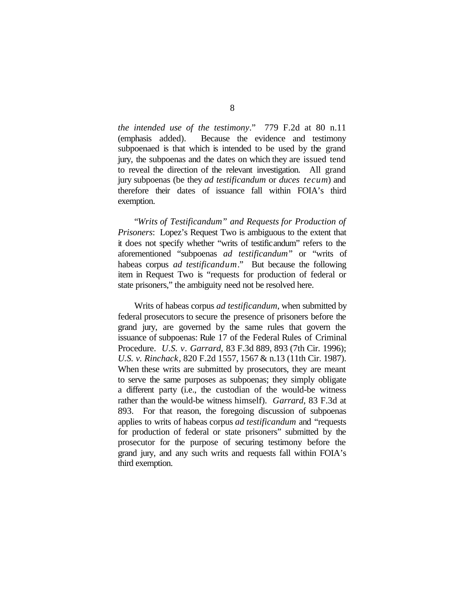*the intended use of the testimony*." 779 F.2d at 80 n.11 (emphasis added). Because the evidence and testimony subpoenaed is that which is intended to be used by the grand jury, the subpoenas and the dates on which they are issued tend to reveal the direction of the relevant investigation. All grand jury subpoenas (be they *ad testificandum* or *duces tecum*) and therefore their dates of issuance fall within FOIA's third exemption.

"*Writs of Testificandum" and Requests for Production of Prisoners*: Lopez's Request Two is ambiguous to the extent that it does not specify whether "writs of testificandum" refers to the aforementioned "subpoenas *ad testificandum*" or "writs of habeas corpus *ad testificandum*." But because the following item in Request Two is "requests for production of federal or state prisoners," the ambiguity need not be resolved here.

Writs of habeas corpus *ad testificandum*, when submitted by federal prosecutors to secure the presence of prisoners before the grand jury, are governed by the same rules that govern the issuance of subpoenas: Rule 17 of the Federal Rules of Criminal Procedure. *U.S. v. Garrard*, 83 F.3d 889, 893 (7th Cir. 1996); *U.S. v. Rinchack*, 820 F.2d 1557, 1567 & n.13 (11th Cir. 1987). When these writs are submitted by prosecutors, they are meant to serve the same purposes as subpoenas; they simply obligate a different party (i.e., the custodian of the would-be witness rather than the would-be witness himself). *Garrard*, 83 F.3d at 893. For that reason, the foregoing discussion of subpoenas applies to writs of habeas corpus *ad testificandum* and "requests for production of federal or state prisoners" submitted by the prosecutor for the purpose of securing testimony before the grand jury, and any such writs and requests fall within FOIA's third exemption.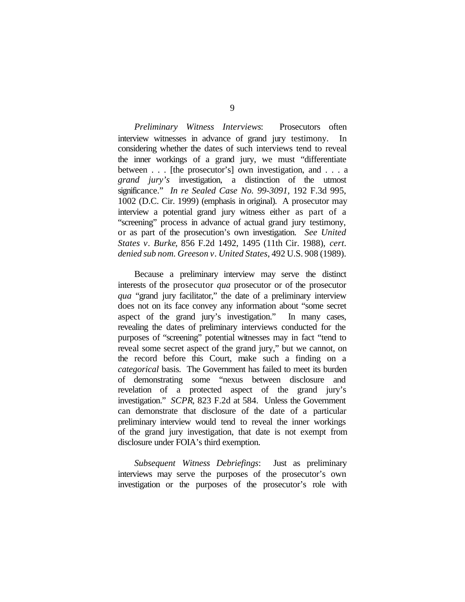*Preliminary Witness Interviews*: Prosecutors often interview witnesses in advance of grand jury testimony. In considering whether the dates of such interviews tend to reveal the inner workings of a grand jury, we must "differentiate between . . . [the prosecutor's] own investigation, and . . . a *grand jury's* investigation, a distinction of the utmost significance." *In re Sealed Case No. 99-3091*, 192 F.3d 995, 1002 (D.C. Cir. 1999) (emphasis in original). A prosecutor may interview a potential grand jury witness either as part of a "screening" process in advance of actual grand jury testimony, or as part of the prosecution's own investigation. *See United States v. Burke*, 856 F.2d 1492, 1495 (11th Cir. 1988), *cert. denied sub nom. Greeson v. United States*, 492 U.S. 908 (1989).

Because a preliminary interview may serve the distinct interests of the prosecutor *qua* prosecutor or of the prosecutor *qua* "grand jury facilitator," the date of a preliminary interview does not on its face convey any information about "some secret aspect of the grand jury's investigation." In many cases, revealing the dates of preliminary interviews conducted for the purposes of "screening" potential witnesses may in fact "tend to reveal some secret aspect of the grand jury," but we cannot, on the record before this Court, make such a finding on a *categorical* basis. The Government has failed to meet its burden of demonstrating some "nexus between disclosure and revelation of a protected aspect of the grand jury's investigation." *SCPR*, 823 F.2d at 584. Unless the Government can demonstrate that disclosure of the date of a particular preliminary interview would tend to reveal the inner workings of the grand jury investigation, that date is not exempt from disclosure under FOIA's third exemption.

*Subsequent Witness Debriefings*: Just as preliminary interviews may serve the purposes of the prosecutor's own investigation or the purposes of the prosecutor's role with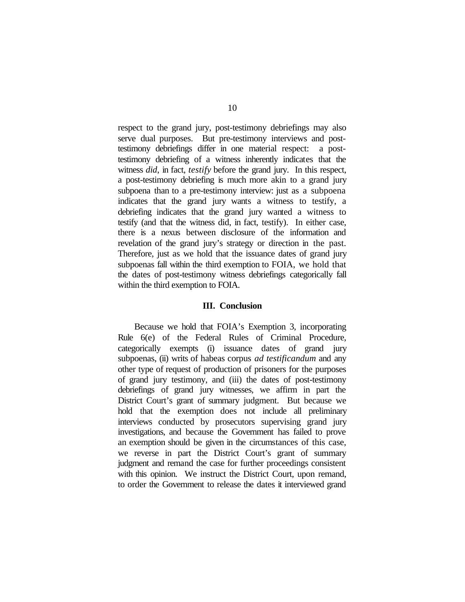respect to the grand jury, post-testimony debriefings may also serve dual purposes. But pre-testimony interviews and posttestimony debriefings differ in one material respect: a posttestimony debriefing of a witness inherently indicates that the witness *did*, in fact, *testify* before the grand jury. In this respect, a post-testimony debriefing is much more akin to a grand jury subpoena than to a pre-testimony interview: just as a subpoena indicates that the grand jury wants a witness to testify, a debriefing indicates that the grand jury wanted a witness to testify (and that the witness did, in fact, testify). In either case, there is a nexus between disclosure of the information and revelation of the grand jury's strategy or direction in the past. Therefore, just as we hold that the issuance dates of grand jury subpoenas fall within the third exemption to FOIA, we hold that the dates of post-testimony witness debriefings categorically fall within the third exemption to FOIA.

## **III. Conclusion**

Because we hold that FOIA's Exemption 3, incorporating Rule 6(e) of the Federal Rules of Criminal Procedure, categorically exempts (i) issuance dates of grand jury subpoenas, (ii) writs of habeas corpus *ad testificandum* and any other type of request of production of prisoners for the purposes of grand jury testimony, and (iii) the dates of post-testimony debriefings of grand jury witnesses, we affirm in part the District Court's grant of summary judgment. But because we hold that the exemption does not include all preliminary interviews conducted by prosecutors supervising grand jury investigations, and because the Government has failed to prove an exemption should be given in the circumstances of this case, we reverse in part the District Court's grant of summary judgment and remand the case for further proceedings consistent with this opinion. We instruct the District Court, upon remand, to order the Government to release the dates it interviewed grand